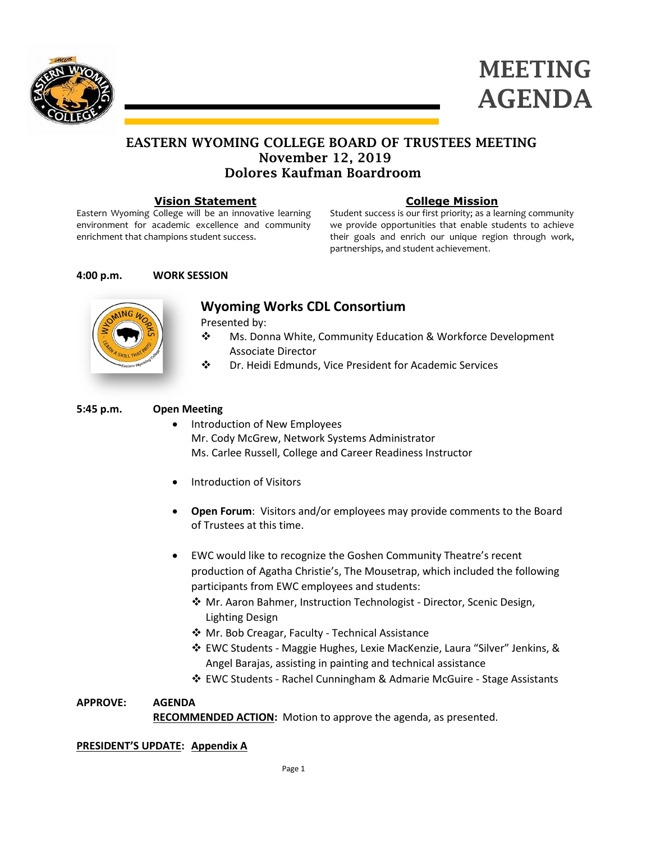



# EASTERN WYOMING COLLEGE BOARD OF TRUSTEES MEETING November 12, 2019 Dolores Kaufman Boardroom

### **Vision Statement**

Eastern Wyoming College will be an innovative learning environment for academic excellence and community enrichment that champions student success.

## **College Mission**

Student success is our first priority; as a learning community we provide opportunities that enable students to achieve their goals and enrich our unique region through work, partnerships, and student achievement.

## **4:00 p.m. WORK SESSION**



**Wyoming Works CDL Consortium**

Presented by:

- Ms. Donna White, Community Education & Workforce Development Associate Director
- Dr. Heidi Edmunds, Vice President for Academic Services

## **5:45 p.m. Open Meeting**

- Introduction of New Employees Mr. Cody McGrew, Network Systems Administrator Ms. Carlee Russell, College and Career Readiness Instructor
- Introduction of Visitors
- **Open Forum**: Visitors and/or employees may provide comments to the Board of Trustees at this time.
- EWC would like to recognize the Goshen Community Theatre's recent production of Agatha Christie's, The Mousetrap, which included the following participants from EWC employees and students:
	- Mr. Aaron Bahmer, Instruction Technologist Director, Scenic Design, Lighting Design
	- ◆ Mr. Bob Creagar, Faculty Technical Assistance
	- EWC Students Maggie Hughes, Lexie MacKenzie, Laura "Silver" Jenkins, & Angel Barajas, assisting in painting and technical assistance
	- EWC Students Rachel Cunningham & Admarie McGuire Stage Assistants

## **APPROVE: AGENDA**

**RECOMMENDED ACTION:** Motion to approve the agenda, as presented.

## **PRESIDENT'S UPDATE: Appendix A**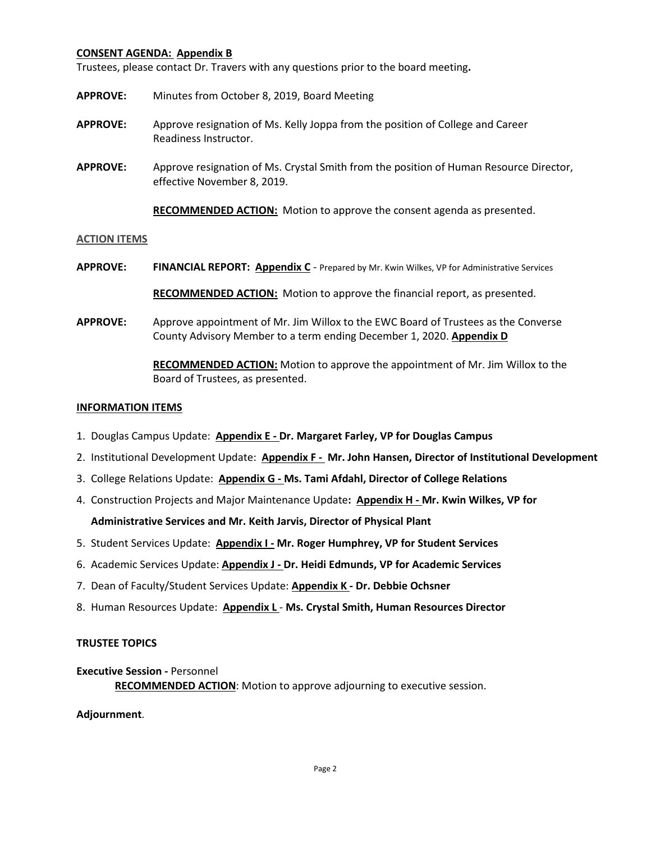### **CONSENT AGENDA: Appendix B**

Trustees, please contact Dr. Travers with any questions prior to the board meeting**.**

- **APPROVE:** Minutes from October 8, 2019, Board Meeting
- **APPROVE:** Approve resignation of Ms. Kelly Joppa from the position of College and Career Readiness Instructor.
- **APPROVE:** Approve resignation of Ms. Crystal Smith from the position of Human Resource Director, effective November 8, 2019.

**RECOMMENDED ACTION:** Motion to approve the consent agenda as presented.

#### **ACTION ITEMS**

- **APPROVE: FINANCIAL REPORT: Appendix C** Prepared by Mr. Kwin Wilkes, VP for Administrative Services **RECOMMENDED ACTION:** Motion to approve the financial report, as presented.
- **APPROVE:** Approve appointment of Mr. Jim Willox to the EWC Board of Trustees as the Converse County Advisory Member to a term ending December 1, 2020. **Appendix D**

**RECOMMENDED ACTION:** Motion to approve the appointment of Mr. Jim Willox to the Board of Trustees, as presented.

#### **INFORMATION ITEMS**

- 1. Douglas Campus Update: **Appendix E - Dr. Margaret Farley, VP for Douglas Campus**
- 2. Institutional Development Update: **Appendix F - Mr. John Hansen, Director of Institutional Development**
- 3. College Relations Update: **Appendix G - Ms. Tami Afdahl, Director of College Relations**
- 4. Construction Projects and Major Maintenance Update**: Appendix H - Mr. Kwin Wilkes, VP for**

**Administrative Services and Mr. Keith Jarvis, Director of Physical Plant**

- 5. Student Services Update: **Appendix I - Mr. Roger Humphrey, VP for Student Services**
- 6. Academic Services Update: **Appendix J - Dr. Heidi Edmunds, VP for Academic Services**
- 7. Dean of Faculty/Student Services Update: **Appendix K - Dr. Debbie Ochsner**
- 8. Human Resources Update: **Appendix L Ms. Crystal Smith, Human Resources Director**

#### **TRUSTEE TOPICS**

#### **Executive Session -** Personnel

**RECOMMENDED ACTION**: Motion to approve adjourning to executive session.

**Adjournment**.